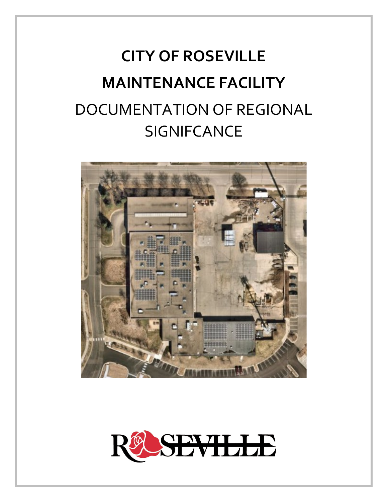# **CITY OF ROSEVILLE MAINTENANCE FACILITY**  DOCUMENTATION OF REGIONAL **SIGNIFCANCE**



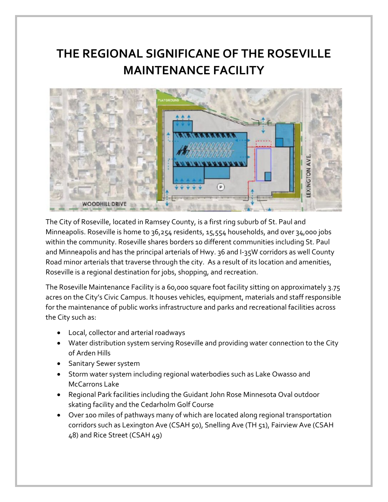# **THE REGIONAL SIGNIFICANE OF THE ROSEVILLE MAINTENANCE FACILITY**



The City of Roseville, located in Ramsey County, is a first ring suburb of St. Paul and Minneapolis. Roseville is home to 36,254 residents, 15,554 households, and over 34,000 jobs within the community. Roseville shares borders 10 different communities including St. Paul and Minneapolis and has the principal arterials of Hwy. 36 and I-35W corridors as well County Road minor arterials that traverse through the city. As a result of its location and amenities, Roseville is a regional destination for jobs, shopping, and recreation.

The Roseville Maintenance Facility is a 60,000 square foot facility sitting on approximately 3.75 acres on the City's Civic Campus. It houses vehicles, equipment, materials and staff responsible for the maintenance of public works infrastructure and parks and recreational facilities across the City such as:

- Local, collector and arterial roadways
- Water distribution system serving Roseville and providing water connection to the City of Arden Hills
- Sanitary Sewer system
- Storm water system including regional waterbodies such as Lake Owasso and McCarrons Lake
- Regional Park facilities including the Guidant John Rose Minnesota Oval outdoor skating facility and the Cedarholm Golf Course
- Over 100 miles of pathways many of which are located along regional transportation corridors such as Lexington Ave (CSAH 50), Snelling Ave (TH 51), Fairview Ave (CSAH 48) and Rice Street (CSAH 49)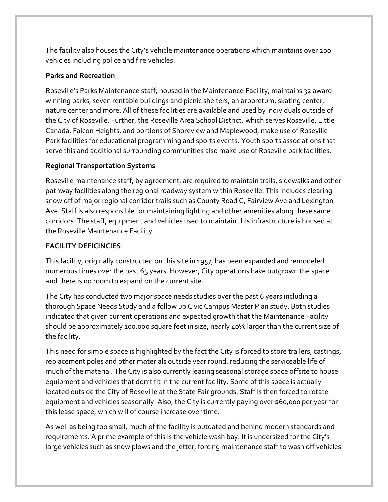The facility also houses the City's vehicle maintenance operations which maintains over 200 vehicles including police and fire vehicles.

# **Parks and Recreation**

Roseville's Parks Maintenance staff, housed in the Maintenance Facility, maintains 32 award winning parks, seven rentable buildings and picnic shelters, an arboretum, skating center, nature center and more. All of these facilities are available and used by individuals outside of the City of Roseville. Further, the Roseville Area School District, which serves Roseville, Little Canada, Falcon Heights, and portions of Shoreview and Maplewood, make use of Roseville Park facilities for educational programming and sports events. Youth sports associations that serve this and additional surrounding communities also make use of Roseville park facilities.

# **Regional Transportation Systems**

Roseville maintenance staff, by agreement, are required to maintain trails, sidewalks and other pathway facilities along the regional roadway system within Roseville. This includes clearing snow off of major regional corridor trails such as County Road C, Fairview Ave and Lexington Ave. Staff is also responsible for maintaining lighting and other amenities along these same corridors. The staff, equipment and vehicles used to maintain this infrastructure is housed at the Roseville Maintenance Facility.

# **FACILITY DEFICINCIES**

This facility, originally constructed on this site in 1957, has been expanded and remodeled numerous times over the past 65 years. However, City operations have outgrown the space and there is no room to expand on the current site.

The City has conducted two major space needs studies over the past 6 years including a thorough Space Needs Study and a follow up Civic Campus Master Plan study. Both studies indicated that given current operations and expected growth that the Maintenance Facility should be approximately 100,000 square feet in size, nearly 40% larger than the current size of the facility.

This need for simple space is highlighted by the fact the City is forced to store trailers, castings, replacement poles and other materials outside year round, reducing the serviceable life of much of the material. The City is also currently leasing seasonal storage space offsite to house equipment and vehicles that don't fit in the current facility. Some of this space is actually located outside the City of Roseville at the State Fair grounds. Staff is then forced to rotate equipment and vehicles seasonally. Also, the City is currently paying over \$60,000 per year for this lease space, which will of course increase over time.

As well as being too small, much of the facility is outdated and behind modern standards and requirements. A prime example of this is the vehicle wash bay. It is undersized for the City's large vehicles such as snow plows and the jetter, forcing maintenance staff to wash off vehicles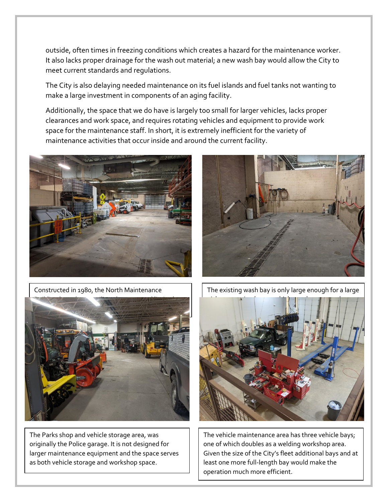outside, often times in freezing conditions which creates a hazard for the maintenance worker. It also lacks proper drainage for the wash out material; a new wash bay would allow the City to meet current standards and regulations.

The City is also delaying needed maintenance on its fuel islands and fuel tanks not wanting to make a large investment in components of an aging facility.

Additionally, the space that we do have is largely too small for larger vehicles, lacks proper clearances and work space, and requires rotating vehicles and equipment to provide work space for the maintenance staff. In short, it is extremely inefficient for the variety of maintenance activities that occur inside and around the current facility.



Constructed in 1980, the North Maintenance



The Parks shop and vehicle storage area, was originally the Police garage. It is not designed for larger maintenance equipment and the space serves as both vehicle storage and workshop space.



The existing wash bay is only large enough for a large



The vehicle maintenance area has three vehicle bays; one of which doubles as a welding workshop area. Given the size of the City's fleet additional bays and at least one more full-length bay would make the operation much more efficient.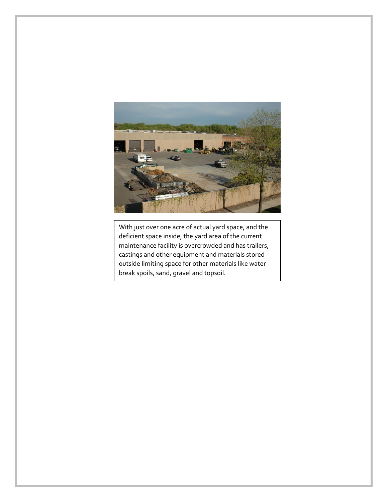

With just over one acre of actual yard space, and the deficient space inside, the yard area of the current maintenance facility is overcrowded and has trailers, castings and other equipment and materials stored outside limiting space for other materials like water break spoils, sand, gravel and topsoil.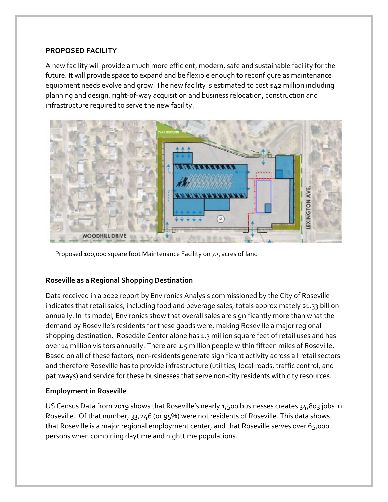#### **PROPOSED FACILITY**

A new facility will provide a much more efficient, modern, safe and sustainable facility for the future. It will provide space to expand and be flexible enough to reconfigure as maintenance equipment needs evolve and grow. The new facility is estimated to cost \$42 million including planning and design, right-of-way acquisition and business relocation, construction and infrastructure required to serve the new facility.



Proposed 100,000 square foot Maintenance Facility on 7.5 acres of land

## **Roseville as a Regional Shopping Destination**

Data received in a 2022 report by Environics Analysis commissioned by the City of Roseville indicates that retail sales, including food and beverage sales, totals approximately \$1.33 billion annually. In its model, Environics show that overall sales are significantly more than what the demand by Roseville's residents for these goods were, making Roseville a major regional shopping destination. Rosedale Center alone has 1.3 million square feet of retail uses and has over 14 million visitors annually. There are 1.5 million people within fifteen miles of Roseville. Based on all of these factors, non-residents generate significant activity across all retail sectors and therefore Roseville has to provide infrastructure (utilities, local roads, traffic control, and pathways) and service for these businesses that serve non-city residents with city resources.

## **Employment in Roseville**

US Census Data from 2019 shows that Roseville's nearly 1,500 businesses creates 34,803 jobs in Roseville. Of that number, 33,246 (or 95%) were not residents of Roseville. This data shows that Roseville is a major regional employment center, and that Roseville serves over 65,000 persons when combining daytime and nighttime populations.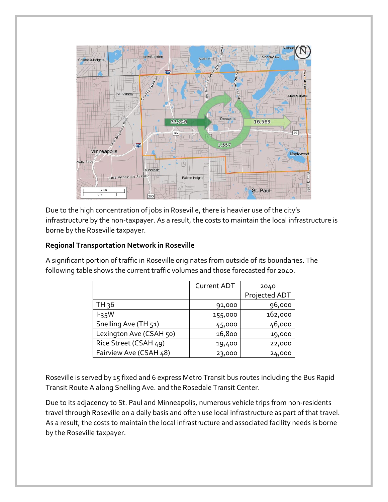

Due to the high concentration of jobs in Roseville, there is heavier use of the city's infrastructure by the non-taxpayer. As a result, the costs to maintain the local infrastructure is borne by the Roseville taxpayer.

#### **Regional Transportation Network in Roseville**

A significant portion of traffic in Roseville originates from outside of its boundaries. The following table shows the current traffic volumes and those forecasted for 2040.

|                         | <b>Current ADT</b> | 2040          |
|-------------------------|--------------------|---------------|
|                         |                    | Projected ADT |
| TH 36                   | 91,000             | 96,000        |
| $l-35W$                 | 155,000            | 162,000       |
| Snelling Ave (TH 51)    | 45,000             | 46,000        |
| Lexington Ave (CSAH 50) | 16,800             | 19,000        |
| Rice Street (CSAH 49)   | 19,400             | 22,000        |
| Fairview Ave (CSAH 48)  | 23,000             | 24,000        |

Roseville is served by 15 fixed and 6 express Metro Transit bus routes including the Bus Rapid Transit Route A along Snelling Ave. and the Rosedale Transit Center.

Due to its adjacency to St. Paul and Minneapolis, numerous vehicle trips from non-residents travel through Roseville on a daily basis and often use local infrastructure as part of that travel. As a result, the costs to maintain the local infrastructure and associated facility needs is borne by the Roseville taxpayer.